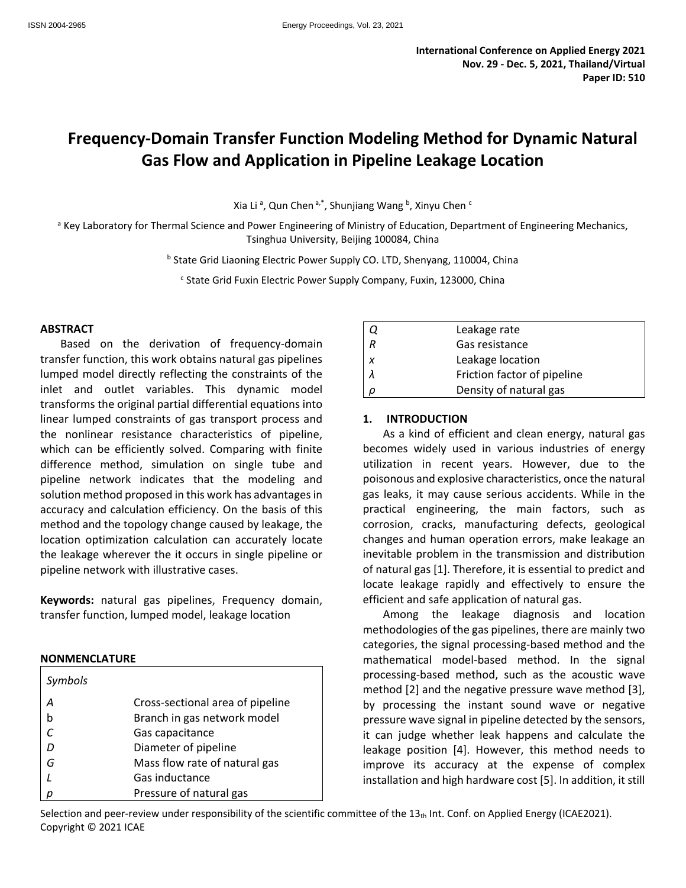## **Frequency-Domain Transfer Function Modeling Method for Dynamic Natural Gas Flow and Application in Pipeline Leakage Location**

Xia Li<sup>a</sup>, Qun Chen<sup>a,\*</sup>, Shunjiang Wang <sup>b</sup>, Xinyu Chen <sup>c</sup>

<sup>a</sup> Key Laboratory for Thermal Science and Power Engineering of Ministry of Education, Department of Engineering Mechanics, Tsinghua University, Beijing 100084, China

**b State Grid Liaoning Electric Power Supply CO. LTD, Shenyang, 110004, China** 

<sup>c</sup> State Grid Fuxin Electric Power Supply Company, Fuxin, 123000, China

#### **ABSTRACT**

Based on the derivation of frequency-domain transfer function, this work obtains natural gas pipelines lumped model directly reflecting the constraints of the inlet and outlet variables. This dynamic model transforms the original partial differential equations into linear lumped constraints of gas transport process and the nonlinear resistance characteristics of pipeline, which can be efficiently solved. Comparing with finite difference method, simulation on single tube and pipeline network indicates that the modeling and solution method proposed in this work has advantages in accuracy and calculation efficiency. On the basis of this method and the topology change caused by leakage, the location optimization calculation can accurately locate the leakage wherever the it occurs in single pipeline or pipeline network with illustrative cases.

**Keywords:** natural gas pipelines, Frequency domain, transfer function, lumped model, leakage location

#### **NONMENCLATURE**

| Symbols           |                                  |
|-------------------|----------------------------------|
| Α                 | Cross-sectional area of pipeline |
| b                 | Branch in gas network model      |
| $\mathcal{C}_{0}$ | Gas capacitance                  |
| D                 | Diameter of pipeline             |
| G                 | Mass flow rate of natural gas    |
|                   | Gas inductance                   |
| р                 | Pressure of natural gas          |

|                           | Leakage rate                |
|---------------------------|-----------------------------|
| $\overline{R}$            | Gas resistance              |
| $\boldsymbol{\mathsf{x}}$ | Leakage location            |
|                           | Friction factor of pipeline |
| $\Omega$                  | Density of natural gas      |

#### **1. INTRODUCTION**

As a kind of efficient and clean energy, natural gas becomes widely used in various industries of energy utilization in recent years. However, due to the poisonous and explosive characteristics, once the natural gas leaks, it may cause serious accidents. While in the practical engineering, the main factors, such as corrosion, cracks, manufacturing defects, geological changes and human operation errors, make leakage an inevitable problem in the transmission and distribution of natural gas [1]. Therefore, it is essential to predict and locate leakage rapidly and effectively to ensure the efficient and safe application of natural gas.

Among the leakage diagnosis and location methodologies of the gas pipelines, there are mainly two categories, the signal processing-based method and the mathematical model-based method. In the signal processing-based method, such as the acoustic wave method [2] and the negative pressure wave method [3], by processing the instant sound wave or negative pressure wave signal in pipeline detected by the sensors, it can judge whether leak happens and calculate the leakage position [4]. However, this method needs to improve its accuracy at the expense of complex installation and high hardware cost [5]. In addition, it still

Selection and peer-review under responsibility of the scientific committee of the  $13<sub>th</sub>$  Int. Conf. on Applied Energy (ICAE2021). Copyright © 2021 ICAE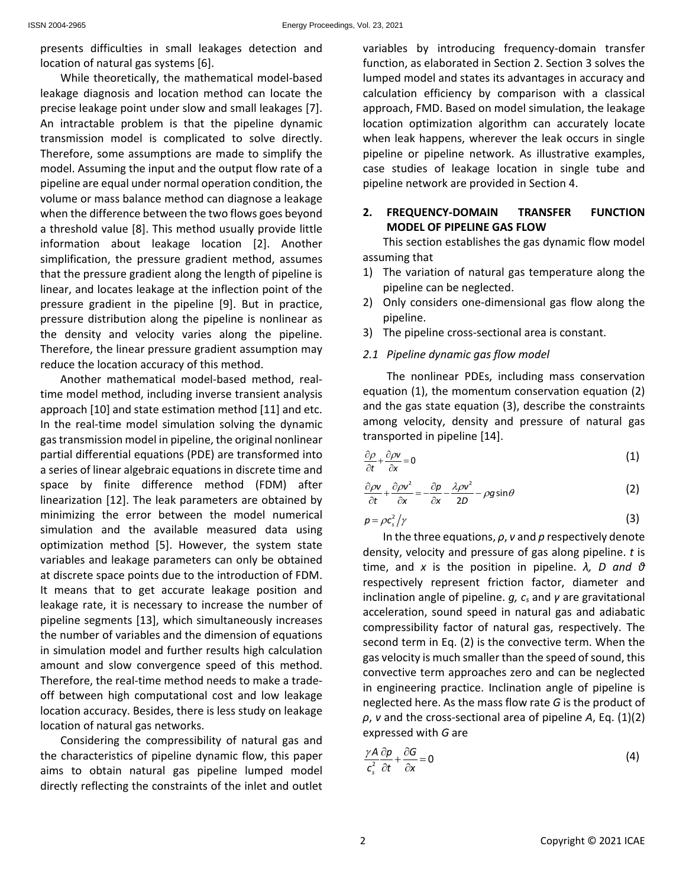presents difficulties in small leakages detection and location of natural gas systems [6].

While theoretically, the mathematical model-based leakage diagnosis and location method can locate the precise leakage point under slow and small leakages [7]. An intractable problem is that the pipeline dynamic transmission model is complicated to solve directly. Therefore, some assumptions are made to simplify the model. Assuming the input and the output flow rate of a pipeline are equal under normal operation condition, the volume or mass balance method can diagnose a leakage when the difference between the two flows goes beyond a threshold value [8]. This method usually provide little information about leakage location [2]. Another simplification, the pressure gradient method, assumes that the pressure gradient along the length of pipeline is linear, and locates leakage at the inflection point of the pressure gradient in the pipeline [9]. But in practice, pressure distribution along the pipeline is nonlinear as the density and velocity varies along the pipeline. Therefore, the linear pressure gradient assumption may reduce the location accuracy of this method.

Another mathematical model-based method, realtime model method, including inverse transient analysis approach [10] and state estimation method [11] and etc. In the real-time model simulation solving the dynamic gas transmission model in pipeline, the original nonlinear partial differential equations (PDE) are transformed into a series of linear algebraic equations in discrete time and space by finite difference method (FDM) after linearization [12]. The leak parameters are obtained by minimizing the error between the model numerical simulation and the available measured data using optimization method [5]. However, the system state variables and leakage parameters can only be obtained at discrete space points due to the introduction of FDM. It means that to get accurate leakage position and leakage rate, it is necessary to increase the number of pipeline segments [13], which simultaneously increases the number of variables and the dimension of equations in simulation model and further results high calculation amount and slow convergence speed of this method. Therefore, the real-time method needs to make a tradeoff between high computational cost and low leakage location accuracy. Besides, there is less study on leakage location of natural gas networks.

Considering the compressibility of natural gas and the characteristics of pipeline dynamic flow, this paper aims to obtain natural gas pipeline lumped model directly reflecting the constraints of the inlet and outlet variables by introducing frequency-domain transfer function, as elaborated in Section 2. Section 3 solves the lumped model and states its advantages in accuracy and calculation efficiency by comparison with a classical approach, FMD. Based on model simulation, the leakage location optimization algorithm can accurately locate when leak happens, wherever the leak occurs in single pipeline or pipeline network. As illustrative examples, case studies of leakage location in single tube and pipeline network are provided in Section 4.

### **2. FREQUENCY-DOMAIN TRANSFER FUNCTION MODEL OF PIPELINE GAS FLOW**

This section establishes the gas dynamic flow model assuming that

- 1) The variation of natural gas temperature along the pipeline can be neglected.
- 2) Only considers one-dimensional gas flow along the pipeline.
- 3) The pipeline cross-sectional area is constant.

#### *2.1 Pipeline dynamic gas flow model*

The nonlinear PDEs, including mass conservation equation (1), the momentum conservation equation (2) and the gas state equation (3), describe the constraints among velocity, density and pressure of natural gas transported in pipeline [14].

$$
\frac{\partial \rho}{\partial t} + \frac{\partial \rho \mathbf{v}}{\partial x} = 0 \tag{1}
$$

$$
\frac{\partial \rho v}{\partial t} + \frac{\partial \rho v^2}{\partial x} = -\frac{\partial \rho}{\partial x} - \frac{\lambda \rho v^2}{2D} - \rho g \sin \theta
$$
 (2)

$$
p = \rho c_s^2 / \gamma \tag{3}
$$

In the three equations, *ρ*, *v* and *p* respectively denote density, velocity and pressure of gas along pipeline. *t* is time, and *x* is the position in pipeline. *λ, D and θ*  respectively represent friction factor, diameter and inclination angle of pipeline. *g, cs* and *γ* are gravitational acceleration, sound speed in natural gas and adiabatic compressibility factor of natural gas, respectively. The second term in Eq. (2) is the convective term. When the gas velocity is much smaller than the speed of sound, this convective term approaches zero and can be neglected in engineering practice. Inclination angle of pipeline is neglected here. As the mass flow rate *G* is the product of *ρ*, *v* and the cross-sectional area of pipeline *A*, Eq. (1)(2) expressed with *G* are

$$
\frac{\gamma A}{c_s^2} \frac{\partial p}{\partial t} + \frac{\partial G}{\partial x} = 0
$$
 (4)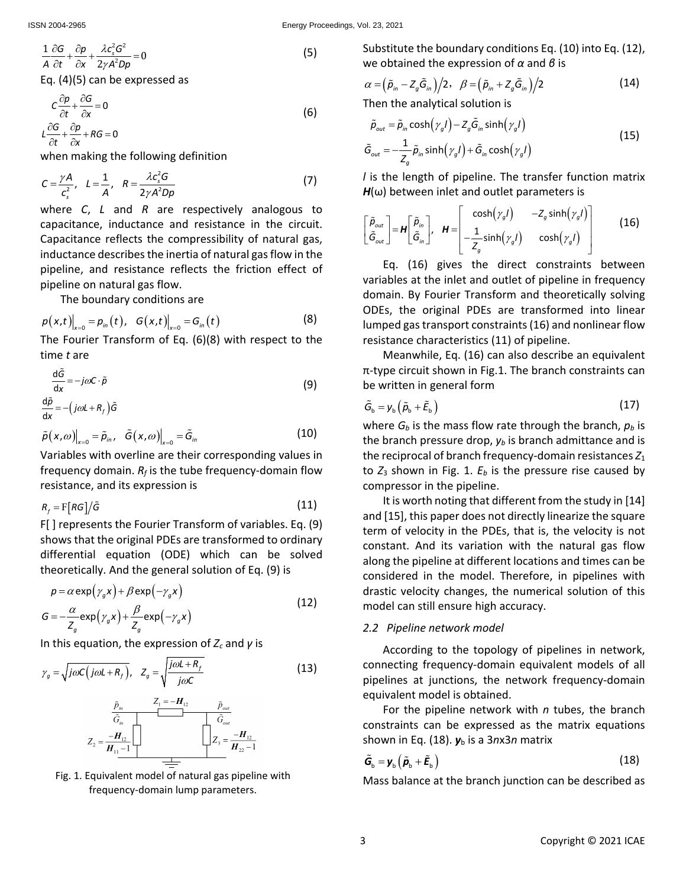$$
\frac{1}{A}\frac{\partial G}{\partial t} + \frac{\partial p}{\partial x} + \frac{\lambda c_s^2 G^2}{2\gamma A^2 D p} = 0
$$
\n(5)

Eq. (4)(5) can be expressed as

$$
C\frac{\partial p}{\partial t} + \frac{\partial G}{\partial x} = 0
$$
  
\n
$$
L\frac{\partial G}{\partial t} + \frac{\partial p}{\partial x} + RG = 0
$$
\n(6)

when making the following definition

$$
C = \frac{\gamma A}{c_s^2}, \quad L = \frac{1}{A}, \quad R = \frac{\lambda c_s^2 G}{2\gamma A^2 D \rho}
$$
 (7)

where *C*, *L* and *R* are respectively analogous to capacitance, inductance and resistance in the circuit. Capacitance reflects the compressibility of natural gas, inductance describes the inertia of natural gas flow in the pipeline, and resistance reflects the friction effect of pipeline on natural gas flow.

The boundary conditions are

$$
p(x,t)|_{x=0} = p_{in}(t), G(x,t)|_{x=0} = G_{in}(t)
$$
 (8)

The Fourier Transform of Eq. (6)(8) with respect to the time *t* are

$$
\frac{d\tilde{G}}{dx} = -j\omega C \cdot \tilde{\rho}
$$
\n
$$
\frac{d\tilde{\rho}}{dx} = -\left(j\omega L + R_f\right)\tilde{G}
$$
\n(9)

$$
\tilde{p}(x,\omega)\big|_{x=0} = \tilde{p}_{in}, \quad \tilde{G}(x,\omega)\big|_{x=0} = \tilde{G}_{in}
$$
 (10)

Variables with overline are their corresponding values in frequency domain.  $R_f$  is the tube frequency-domain flow resistance, and its expression is

$$
R_f = \mathbf{F}[RG]/\tilde{G}
$$
 (11)

F[ ] represents the Fourier Transform of variables. Eq. (9) shows that the original PDEs are transformed to ordinary differential equation (ODE) which can be solved theoretically. And the general solution of Eq. (9) is

$$
p = \alpha \exp(\gamma_g x) + \beta \exp(-\gamma_g x)
$$
  
\n
$$
G = -\frac{\alpha}{Z_g} \exp(\gamma_g x) + \frac{\beta}{Z_g} \exp(-\gamma_g x)
$$
\n(12)

In this equation, the expression of *Zc* and *γ* is

$$
\gamma_g = \sqrt{j\omega C(j\omega L + R_f)}, \quad Z_g = \sqrt{\frac{j\omega L + R_f}{j\omega C}}
$$
(13)





Substitute the boundary conditions Eq. (10) into Eq. (12), we obtained the expression of *α* and *β* is

$$
\alpha = (\tilde{\rho}_{in} - Z_g \tilde{G}_{in})/2, \quad \beta = (\tilde{\rho}_{in} + Z_g \tilde{G}_{in})/2 \tag{14}
$$

Then the analytical solution is

$$
\tilde{\rho}_{out} = \tilde{\rho}_{in} \cosh(\gamma_g l) - Z_g \tilde{G}_{in} \sinh(\gamma_g l)
$$
\n
$$
\tilde{G}_{out} = -\frac{1}{Z_g} \tilde{\rho}_{in} \sinh(\gamma_g l) + \tilde{G}_{in} \cosh(\gamma_g l)
$$
\n(15)

*l* is the length of pipeline. The transfer function matrix  $H(\omega)$  between inlet and outlet parameters is

$$
\begin{bmatrix} \tilde{p}_{out} \\ \tilde{G}_{out} \end{bmatrix} = \boldsymbol{H} \begin{bmatrix} \tilde{p}_{in} \\ \tilde{G}_{in} \end{bmatrix}, \quad \boldsymbol{H} = \begin{bmatrix} \cosh(\gamma_g l) & -Z_g \sinh(\gamma_g l) \\ -\frac{1}{Z_g} \sinh(\gamma_g l) & \cosh(\gamma_g l) \end{bmatrix}
$$
(16)

Eq. (16) gives the direct constraints between variables at the inlet and outlet of pipeline in frequency domain. By Fourier Transform and theoretically solving ODEs, the original PDEs are transformed into linear lumped gastransport constraints(16) and nonlinear flow resistance characteristics (11) of pipeline.

Meanwhile, Eq. (16) can also describe an equivalent π-type circuit shown in Fig.1. The branch constraints can be written in general form

$$
\tilde{G}_{\rm b} = y_{\rm b} \left( \tilde{p}_{\rm b} + \tilde{E}_{\rm b} \right) \tag{17}
$$

where  $G_b$  is the mass flow rate through the branch,  $p_b$  is the branch pressure drop,  $y_b$  is branch admittance and is the reciprocal of branch frequency-domain resistances *Z*<sup>1</sup> to  $Z_3$  shown in Fig. 1.  $E_b$  is the pressure rise caused by compressor in the pipeline.

It is worth noting that different from the study in [14] and [15], this paper does not directly linearize the square term of velocity in the PDEs, that is, the velocity is not constant. And its variation with the natural gas flow along the pipeline at different locations and times can be considered in the model. Therefore, in pipelines with drastic velocity changes, the numerical solution of this model can still ensure high accuracy.

#### *2.2 Pipeline network model*

According to the topology of pipelines in network, connecting frequency-domain equivalent models of all pipelines at junctions, the network frequency-domain equivalent model is obtained.

For the pipeline network with *n* tubes, the branch constraints can be expressed as the matrix equations shown in Eq. (18). *y*<sup>b</sup> is a 3*n*x3*n* matrix

$$
\tilde{\boldsymbol{G}}_{\rm b} = \boldsymbol{y}_{\rm b} \left( \tilde{\boldsymbol{p}}_{\rm b} + \tilde{\boldsymbol{E}}_{\rm b} \right) \tag{18}
$$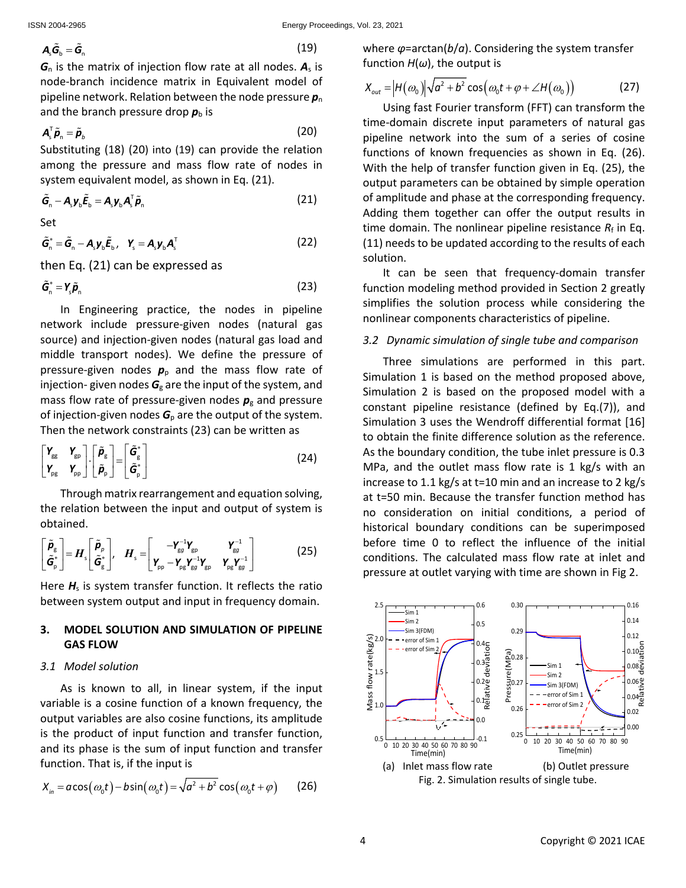$$
A_{\rm s}\tilde{G}_{\rm b}=\tilde{G}_{\rm n} \tag{19}
$$

 $G_n$  is the matrix of injection flow rate at all nodes.  $A_s$  is node-branch incidence matrix in Equivalent model of pipeline network. Relation between the node pressure  $p_n$ and the branch pressure drop  $p_{\rm b}$  is

$$
\boldsymbol{A}_{s}^{\mathrm{T}}\tilde{\boldsymbol{p}}_{n}=\tilde{\boldsymbol{p}}_{b}
$$
 (20)

Substituting (18) (20) into (19) can provide the relation among the pressure and mass flow rate of nodes in system equivalent model, as shown in Eq. (21).

$$
\tilde{\boldsymbol{G}}_{n} - \boldsymbol{A}_{s} \boldsymbol{y}_{b} \tilde{\boldsymbol{E}}_{b} = \boldsymbol{A}_{s} \boldsymbol{y}_{b} \boldsymbol{A}_{s}^{T} \tilde{\boldsymbol{p}}_{n}
$$
\n(21)

Set

$$
\tilde{\mathbf{G}}_{n}^{*} = \tilde{\mathbf{G}}_{n} - \mathbf{A}_{s} \mathbf{y}_{b} \tilde{\mathbf{E}}_{b}, \quad \mathbf{Y}_{s} = \mathbf{A}_{s} \mathbf{y}_{b} \mathbf{A}_{s}^{T}
$$
\n(22)

then Eq. (21) can be expressed as

$$
\tilde{\mathbf{G}}_{n}^{*} = \mathbf{Y}_{s}\tilde{\mathbf{p}}_{n} \tag{23}
$$

In Engineering practice, the nodes in pipeline network include pressure-given nodes (natural gas source) and injection-given nodes (natural gas load and middle transport nodes). We define the pressure of pressure-given nodes  $p<sub>p</sub>$  and the mass flow rate of injection- given nodes  $G<sub>g</sub>$  are the input of the system, and mass flow rate of pressure-given nodes *p*<sup>g</sup> and pressure of injection-given nodes  $G_p$  are the output of the system. Then the network constraints (23) can be written as

$$
\begin{bmatrix}\n\mathbf{Y}_{\text{gg}} & \mathbf{Y}_{\text{gp}} \\
\mathbf{Y}_{\text{pg}} & \mathbf{Y}_{\text{pp}}\n\end{bmatrix}\n\cdot\n\begin{bmatrix}\n\tilde{\boldsymbol{\rho}}_{\text{g}} \\
\tilde{\boldsymbol{\rho}}_{\text{p}}\n\end{bmatrix}\n=\n\begin{bmatrix}\n\tilde{\boldsymbol{\sigma}}_{\text{g}}^* \\
\tilde{\boldsymbol{\sigma}}_{\text{p}}^*\n\end{bmatrix}
$$
\n(24)

Through matrix rearrangement and equation solving, the relation between the input and output of system is obtained.

$$
\begin{bmatrix} \tilde{\boldsymbol{P}}_{g} \\ \tilde{\boldsymbol{G}}_{p}^{*} \end{bmatrix} = \boldsymbol{H}_{s} \begin{bmatrix} \tilde{\boldsymbol{P}}_{p} \\ \tilde{\boldsymbol{G}}_{g}^{*} \end{bmatrix}, \quad \boldsymbol{H}_{s} = \begin{bmatrix} -\boldsymbol{Y}_{gg}^{-1}\boldsymbol{Y}_{gp} & \boldsymbol{Y}_{gg}^{-1} \\ \boldsymbol{Y}_{pp} - \boldsymbol{Y}_{pg}\boldsymbol{Y}_{gp}^{-1}\boldsymbol{Y}_{gp} & \boldsymbol{Y}_{pg}\boldsymbol{Y}_{gg}^{-1} \end{bmatrix}
$$
(25)

Here  $H_s$  is system transfer function. It reflects the ratio between system output and input in frequency domain.

#### **3. MODEL SOLUTION AND SIMULATION OF PIPELINE GAS FLOW**

#### *3.1 Model solution*

As is known to all, in linear system, if the input variable is a cosine function of a known frequency, the output variables are also cosine functions, its amplitude is the product of input function and transfer function, and its phase is the sum of input function and transfer function. That is, if the input is

$$
X_{in} = a\cos(\omega_0 t) - b\sin(\omega_0 t) = \sqrt{a^2 + b^2}\cos(\omega_0 t + \varphi)
$$
 (26)

where *φ*=arctan(*b*/*a*). Considering the system transfer function *H*(*ω*), the output is

$$
X_{out} = |H(\omega_0)|\sqrt{a^2 + b^2} \cos(\omega_0 t + \varphi + \angle H(\omega_0))
$$
 (27)

Using fast Fourier transform (FFT) can transform the time-domain discrete input parameters of natural gas pipeline network into the sum of a series of cosine functions of known frequencies as shown in Eq. (26). With the help of transfer function given in Eq. (25), the output parameters can be obtained by simple operation of amplitude and phase at the corresponding frequency. Adding them together can offer the output results in time domain. The nonlinear pipeline resistance  $R_f$  in Eq. (11) needs to be updated according to the results of each solution.

It can be seen that frequency-domain transfer function modeling method provided in Section 2 greatly simplifies the solution process while considering the nonlinear components characteristics of pipeline.

#### *3.2 Dynamic simulation of single tube and comparison*

Three simulations are performed in this part. Simulation 1 is based on the method proposed above, Simulation 2 is based on the proposed model with a constant pipeline resistance (defined by Eq.(7)), and Simulation 3 uses the Wendroff differential format [16] to obtain the finite difference solution as the reference. As the boundary condition, the tube inlet pressure is 0.3 MPa, and the outlet mass flow rate is 1 kg/s with an increase to 1.1 kg/s at t=10 min and an increase to 2 kg/s at t=50 min. Because the transfer function method has no consideration on initial conditions, a period of historical boundary conditions can be superimposed before time 0 to reflect the influence of the initial conditions. The calculated mass flow rate at inlet and pressure at outlet varying with time are shown in Fig 2.

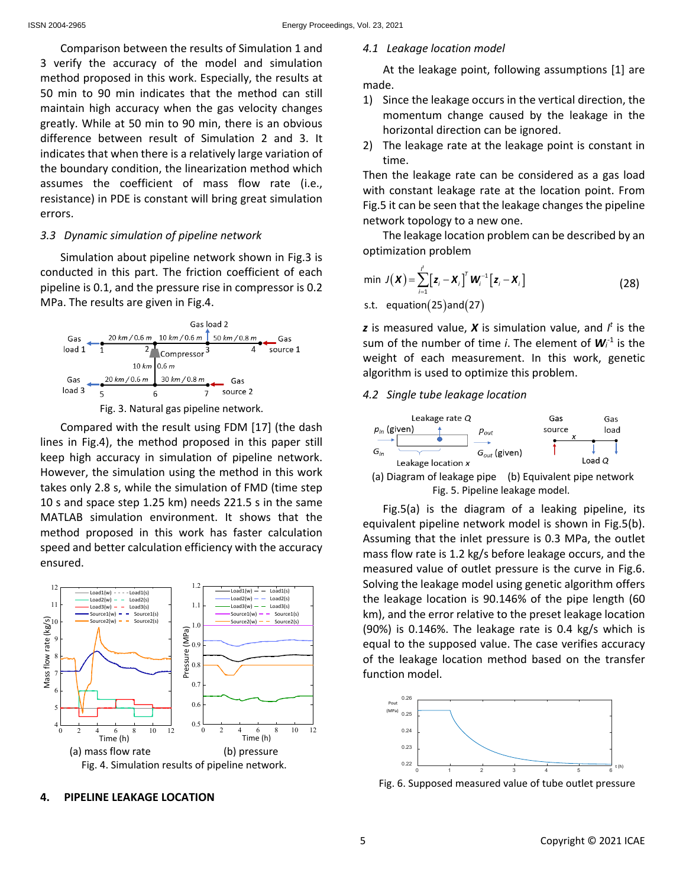Comparison between the results of Simulation 1 and 3 verify the accuracy of the model and simulation method proposed in this work. Especially, the results at 50 min to 90 min indicates that the method can still maintain high accuracy when the gas velocity changes greatly. While at 50 min to 90 min, there is an obvious difference between result of Simulation 2 and 3. It indicates that when there is a relatively large variation of the boundary condition, the linearization method which assumes the coefficient of mass flow rate (i.e., resistance) in PDE is constant will bring great simulation errors.

#### *3.3 Dynamic simulation of pipeline network*

Simulation about pipeline network shown in Fig.3 is conducted in this part. The friction coefficient of each pipeline is 0.1, and the pressure rise in compressor is 0.2 MPa. The results are given in Fig.4.





Compared with the result using FDM [17] (the dash lines in Fig.4), the method proposed in this paper still keep high accuracy in simulation of pipeline network. However, the simulation using the method in this work takes only 2.8 s, while the simulation of FMD (time step 10 s and space step 1.25 km) needs 221.5 s in the same MATLAB simulation environment. It shows that the method proposed in this work has faster calculation speed and better calculation efficiency with the accuracy ensured.



# **4. PIPELINE LEAKAGE LOCATION**

#### *4.1 Leakage location model*

At the leakage point, following assumptions [1] are made.

- 1) Since the leakage occurs in the vertical direction, the momentum change caused by the leakage in the horizontal direction can be ignored.
- 2) The leakage rate at the leakage point is constant in time.

Then the leakage rate can be considered as a gas load with constant leakage rate at the location point. From Fig.5 it can be seen that the leakage changes the pipeline network topology to a new one.

The leakage location problem can be described by an optimization problem

$$
\min J(\boldsymbol{X}) = \sum_{i=1}^{f} [\boldsymbol{z}_i - \boldsymbol{X}_i]^T \boldsymbol{W}_i^{-1} [\boldsymbol{z}_i - \boldsymbol{X}_i]
$$
\n
$$
\text{s.t. equation(25) and(27)} \tag{28}
$$

*z* is measured value, *X* is simulation value, and *I <sup>t</sup>* is the sum of the number of time *i*. The element of  $W_i^1$  is the weight of each measurement. In this work, genetic algorithm is used to optimize this problem.

#### *4.2 Single tube leakage location*



Fig. 5. Pipeline leakage model.

Fig.5(a) is the diagram of a leaking pipeline, its equivalent pipeline network model is shown in Fig.5(b). Assuming that the inlet pressure is 0.3 MPa, the outlet mass flow rate is 1.2 kg/s before leakage occurs, and the measured value of outlet pressure is the curve in Fig.6. Solving the leakage model using genetic algorithm offers the leakage location is 90.146% of the pipe length (60 km), and the error relative to the preset leakage location (90%) is 0.146%. The leakage rate is 0.4 kg/s which is equal to the supposed value. The case verifies accuracy of the leakage location method based on the transfer function model.



Fig. 6. Supposed measured value of tube outlet pressure